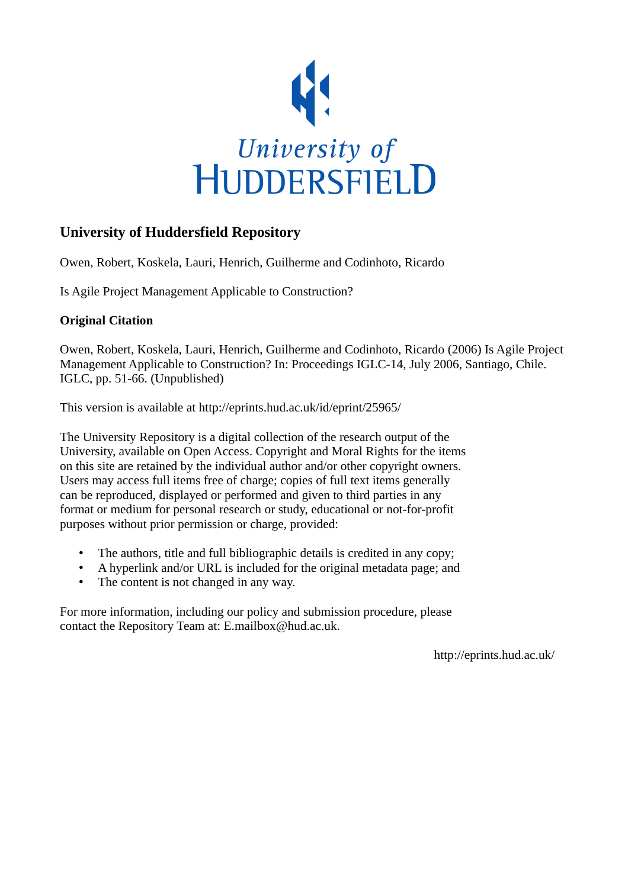

# **University of Huddersfield Repository**

Owen, Robert, Koskela, Lauri, Henrich, Guilherme and Codinhoto, Ricardo

Is Agile Project Management Applicable to Construction?

## **Original Citation**

Owen, Robert, Koskela, Lauri, Henrich, Guilherme and Codinhoto, Ricardo (2006) Is Agile Project Management Applicable to Construction? In: Proceedings IGLC-14, July 2006, Santiago, Chile. IGLC, pp. 51-66. (Unpublished)

This version is available at http://eprints.hud.ac.uk/id/eprint/25965/

The University Repository is a digital collection of the research output of the University, available on Open Access. Copyright and Moral Rights for the items on this site are retained by the individual author and/or other copyright owners. Users may access full items free of charge; copies of full text items generally can be reproduced, displayed or performed and given to third parties in any format or medium for personal research or study, educational or not-for-profit purposes without prior permission or charge, provided:

- The authors, title and full bibliographic details is credited in any copy;
- A hyperlink and/or URL is included for the original metadata page; and
- The content is not changed in any way.

For more information, including our policy and submission procedure, please contact the Repository Team at: E.mailbox@hud.ac.uk.

http://eprints.hud.ac.uk/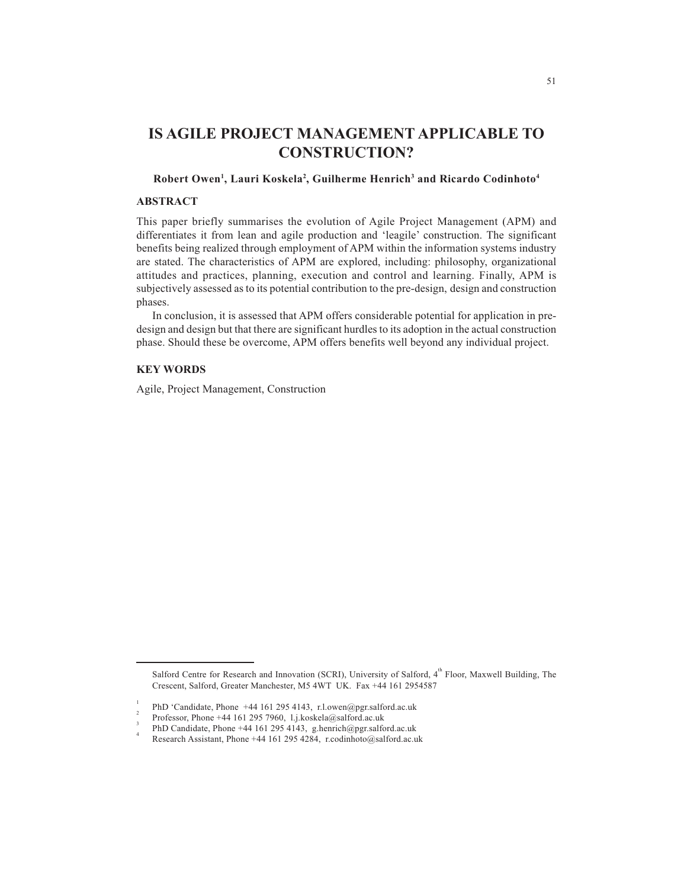## **IS AGILE PROJECT MANAGEMENT APPLICABLE TO CONSTRUCTION?**

#### **Robert Owen1 , Lauri Koskela2 , Guilherme Henrich3 and Ricardo Codinhoto4**

## **ABSTRACT**

This paper briefly summarises the evolution of Agile Project Management (APM) and differentiates it from lean and agile production and 'leagile' construction. The significant benefits being realized through employment of APM within the information systems industry are stated. The characteristics of APM are explored, including: philosophy, organizational attitudes and practices, planning, execution and control and learning. Finally, APM is subjectively assessed as to its potential contribution to the pre-design, design and construction phases.

In conclusion, it is assessed that APM offers considerable potential for application in predesign and design but that there are significant hurdles to its adoption in the actual construction phase. Should these be overcome, APM offers benefits well beyond any individual project.

## **KEY WORDS**

Agile, Project Management, Construction

Salford Centre for Research and Innovation (SCRI), University of Salford,  $4^{th}$  Floor, Maxwell Building, The Crescent, Salford, Greater Manchester, M5 4WT UK. Fax +44 161 2954587

<sup>1</sup> PhD 'Candidate, Phone +44 161 295 4143, r.l.owen@pgr.salford.ac.uk <sup>2</sup>

Professor, Phone +44 161 295 7960, l.j.koskela@salford.ac.uk <sup>3</sup>

PhD Candidate, Phone +44 161 295 4143, g.henrich@pgr.salford.ac.uk <sup>4</sup>

Research Assistant, Phone +44 161 295 4284, r.codinhoto@salford.ac.uk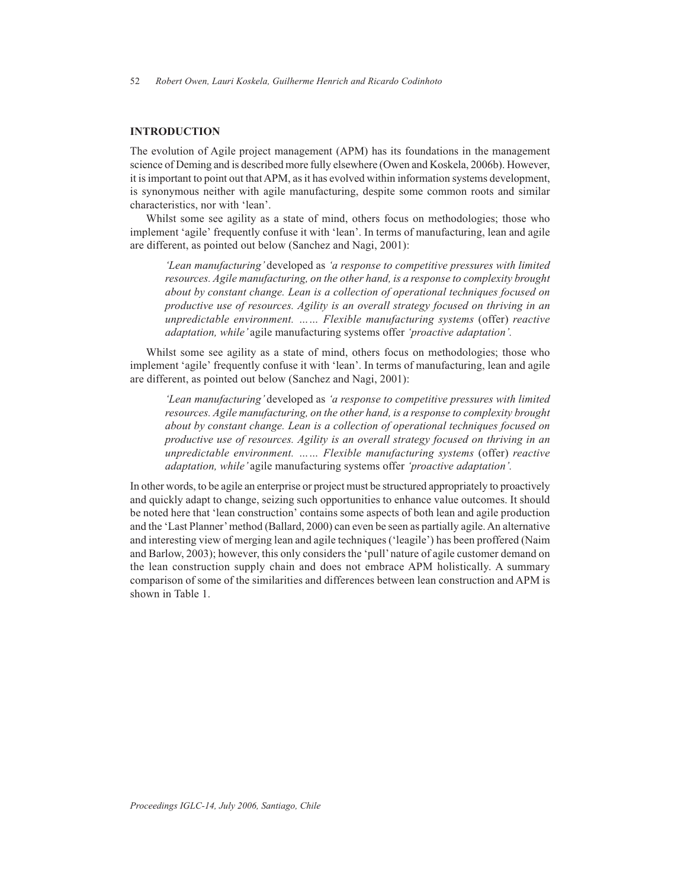## **INTRODUCTION**

The evolution of Agile project management (APM) has its foundations in the management science of Deming and is described more fully elsewhere (Owen and Koskela, 2006b). However, it is important to point out that APM, as it has evolved within information systems development, is synonymous neither with agile manufacturing, despite some common roots and similar characteristics, nor with 'lean'.

Whilst some see agility as a state of mind, others focus on methodologies; those who implement 'agile' frequently confuse it with 'lean'. In terms of manufacturing, lean and agile are different, as pointed out below (Sanchez and Nagi, 2001):

*'Lean manufacturing'* developed as *'a response to competitive pressures with limited resources. Agile manufacturing, on the other hand, is a response to complexity brought about by constant change. Lean is a collection of operational techniques focused on productive use of resources. Agility is an overall strategy focused on thriving in an unpredictable environment. …… Flexible manufacturing systems* (offer) *reactive adaptation, while'* agile manufacturing systems offer *'proactive adaptation'.*

Whilst some see agility as a state of mind, others focus on methodologies; those who implement 'agile' frequently confuse it with 'lean'. In terms of manufacturing, lean and agile are different, as pointed out below (Sanchez and Nagi, 2001):

*'Lean manufacturing'* developed as *'a response to competitive pressures with limited resources. Agile manufacturing, on the other hand, is a response to complexity brought about by constant change. Lean is a collection of operational techniques focused on productive use of resources. Agility is an overall strategy focused on thriving in an unpredictable environment. …… Flexible manufacturing systems* (offer) *reactive adaptation, while'* agile manufacturing systems offer *'proactive adaptation'.*

In other words, to be agile an enterprise or project must be structured appropriately to proactively and quickly adapt to change, seizing such opportunities to enhance value outcomes. It should be noted here that 'lean construction' contains some aspects of both lean and agile production and the 'Last Planner' method (Ballard, 2000) can even be seen as partially agile. An alternative and interesting view of merging lean and agile techniques ('leagile') has been proffered (Naim and Barlow, 2003); however, this only considers the 'pull' nature of agile customer demand on the lean construction supply chain and does not embrace APM holistically. A summary comparison of some of the similarities and differences between lean construction and APM is shown in Table 1.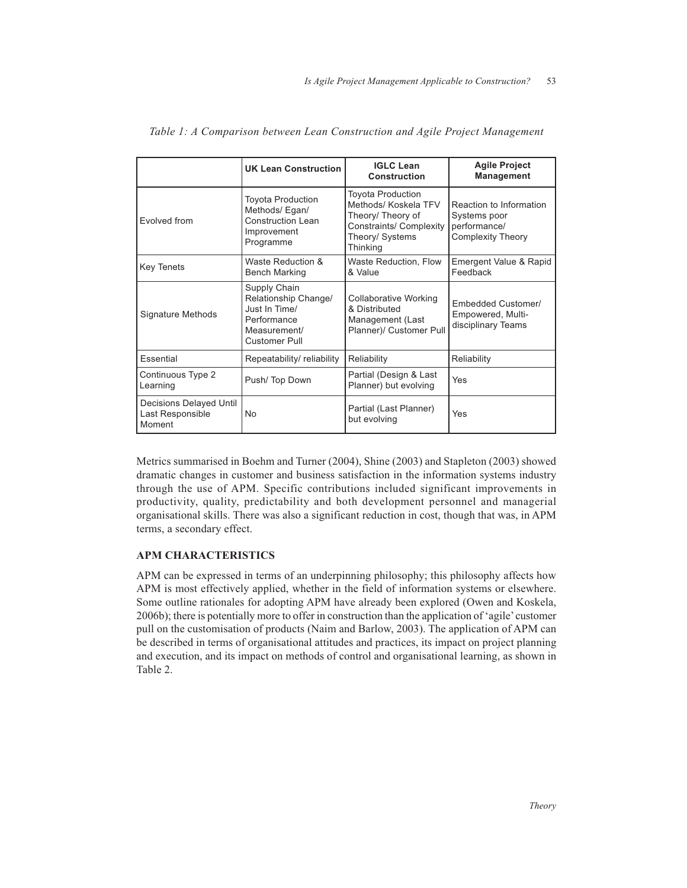|                                                       | <b>UK Lean Construction</b>                                                                           | <b>IGLC Lean</b><br>Construction                                                                                                | <b>Agile Project</b><br><b>Management</b>                                           |
|-------------------------------------------------------|-------------------------------------------------------------------------------------------------------|---------------------------------------------------------------------------------------------------------------------------------|-------------------------------------------------------------------------------------|
| <b>Fvolved from</b>                                   | <b>Toyota Production</b><br>Methods/Egan/<br><b>Construction Lean</b><br>Improvement<br>Programme     | <b>Toyota Production</b><br>Methods/ Koskela TFV<br>Theory/ Theory of<br>Constraints/ Complexity<br>Theory/ Systems<br>Thinking | Reaction to Information<br>Systems poor<br>performance/<br><b>Complexity Theory</b> |
| <b>Key Tenets</b>                                     | Waste Reduction &<br><b>Bench Marking</b>                                                             | Waste Reduction, Flow<br>& Value                                                                                                | Emergent Value & Rapid<br>Feedback                                                  |
| Signature Methods                                     | Supply Chain<br>Relationship Change/<br>Just In Time/<br>Performance<br>Measurement/<br>Customer Pull | Collaborative Working<br>& Distributed<br>Management (Last<br>Planner)/ Customer Pull                                           | <b>Embedded Customer/</b><br>Empowered, Multi-<br>disciplinary Teams                |
| Essential                                             | Repeatability/ reliability                                                                            | Reliability                                                                                                                     | Reliability                                                                         |
| Continuous Type 2<br>Learning                         | Push/Top Down                                                                                         | Partial (Design & Last<br>Planner) but evolving                                                                                 | Yes                                                                                 |
| Decisions Delayed Until<br>Last Responsible<br>Moment | No                                                                                                    | Partial (Last Planner)<br>but evolving                                                                                          | Yes                                                                                 |

*Table 1: A Comparison between Lean Construction and Agile Project Management*

Metrics summarised in Boehm and Turner (2004), Shine (2003) and Stapleton (2003) showed dramatic changes in customer and business satisfaction in the information systems industry through the use of APM. Specific contributions included significant improvements in productivity, quality, predictability and both development personnel and managerial organisational skills. There was also a significant reduction in cost, though that was, in APM terms, a secondary effect.

## **APM CHARACTERISTICS**

APM can be expressed in terms of an underpinning philosophy; this philosophy affects how APM is most effectively applied, whether in the field of information systems or elsewhere. Some outline rationales for adopting APM have already been explored (Owen and Koskela, 2006b); there is potentially more to offer in construction than the application of 'agile' customer pull on the customisation of products (Naim and Barlow, 2003). The application of APM can be described in terms of organisational attitudes and practices, its impact on project planning and execution, and its impact on methods of control and organisational learning, as shown in Table 2.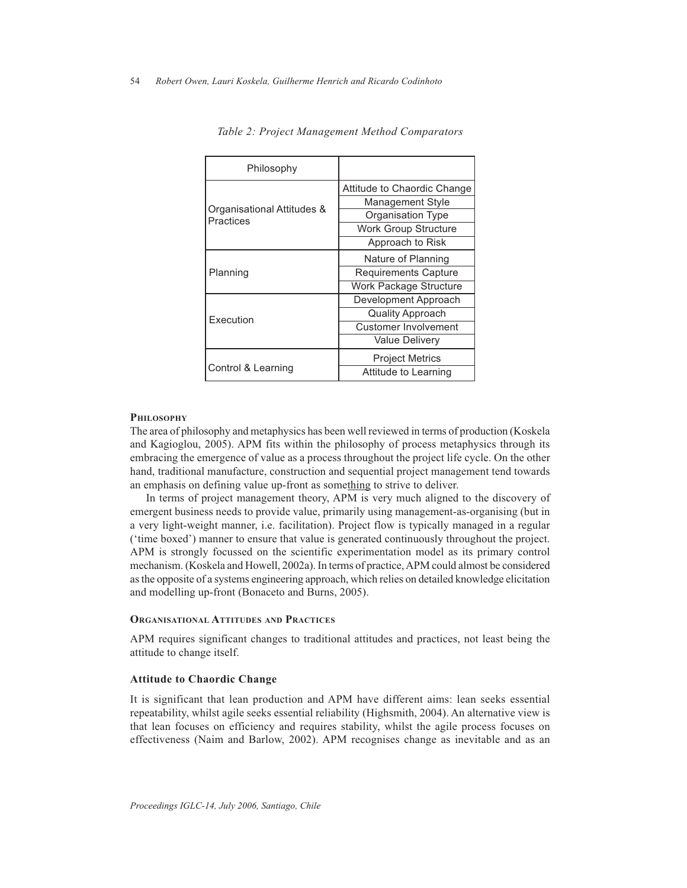| Philosophy                              |                             |  |
|-----------------------------------------|-----------------------------|--|
|                                         | Attitude to Chaordic Change |  |
|                                         | <b>Management Style</b>     |  |
| Organisational Attitudes &<br>Practices | <b>Organisation Type</b>    |  |
|                                         | <b>Work Group Structure</b> |  |
|                                         | Approach to Risk            |  |
|                                         | Nature of Planning          |  |
| Planning                                | <b>Requirements Capture</b> |  |
|                                         | Work Package Structure      |  |
|                                         | Development Approach        |  |
| Execution                               | Quality Approach            |  |
|                                         | Customer Involvement        |  |
|                                         | Value Delivery              |  |
|                                         | <b>Project Metrics</b>      |  |
| Control & Learning                      | Attitude to Learning        |  |

*Table 2: Project Management Method Comparators*

#### **PHILOSOPHY**

The area of philosophy and metaphysics has been well reviewed in terms of production (Koskela and Kagioglou, 2005). APM fits within the philosophy of process metaphysics through its embracing the emergence of value as a process throughout the project life cycle. On the other hand, traditional manufacture, construction and sequential project management tend towards an emphasis on defining value up-front as something to strive to deliver.

In terms of project management theory, APM is very much aligned to the discovery of emergent business needs to provide value, primarily using management-as-organising (but in a very light-weight manner, i.e. facilitation). Project flow is typically managed in a regular ('time boxed') manner to ensure that value is generated continuously throughout the project. APM is strongly focussed on the scientific experimentation model as its primary control mechanism. (Koskela and Howell, 2002a). In terms of practice, APM could almost be considered as the opposite of a systems engineering approach, which relies on detailed knowledge elicitation and modelling up-front (Bonaceto and Burns, 2005).

#### **ORGANISATIONAL ATTITUDES AND PRACTICES**

APM requires significant changes to traditional attitudes and practices, not least being the attitude to change itself.

## **Attitude to Chaordic Change**

It is significant that lean production and APM have different aims: lean seeks essential repeatability, whilst agile seeks essential reliability (Highsmith, 2004). An alternative view is that lean focuses on efficiency and requires stability, whilst the agile process focuses on effectiveness (Naim and Barlow, 2002). APM recognises change as inevitable and as an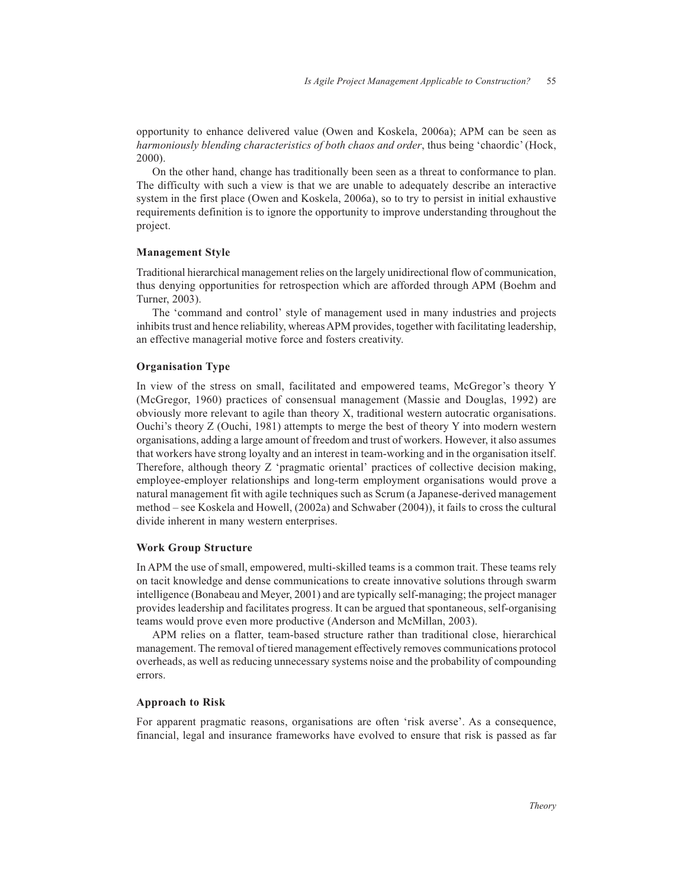opportunity to enhance delivered value (Owen and Koskela, 2006a); APM can be seen as *harmoniously blending characteristics of both chaos and order*, thus being 'chaordic' (Hock, 2000).

On the other hand, change has traditionally been seen as a threat to conformance to plan. The difficulty with such a view is that we are unable to adequately describe an interactive system in the first place (Owen and Koskela, 2006a), so to try to persist in initial exhaustive requirements definition is to ignore the opportunity to improve understanding throughout the project.

#### **Management Style**

Traditional hierarchical management relies on the largely unidirectional flow of communication, thus denying opportunities for retrospection which are afforded through APM (Boehm and Turner, 2003).

The 'command and control' style of management used in many industries and projects inhibits trust and hence reliability, whereas APM provides, together with facilitating leadership, an effective managerial motive force and fosters creativity.

#### **Organisation Type**

In view of the stress on small, facilitated and empowered teams, McGregor's theory Y (McGregor, 1960) practices of consensual management (Massie and Douglas, 1992) are obviously more relevant to agile than theory X, traditional western autocratic organisations. Ouchi's theory Z (Ouchi, 1981) attempts to merge the best of theory Y into modern western organisations, adding a large amount of freedom and trust of workers. However, it also assumes that workers have strong loyalty and an interest in team-working and in the organisation itself. Therefore, although theory Z 'pragmatic oriental' practices of collective decision making, employee-employer relationships and long-term employment organisations would prove a natural management fit with agile techniques such as Scrum (a Japanese-derived management method – see Koskela and Howell, (2002a) and Schwaber (2004)), it fails to cross the cultural divide inherent in many western enterprises.

#### **Work Group Structure**

In APM the use of small, empowered, multi-skilled teams is a common trait. These teams rely on tacit knowledge and dense communications to create innovative solutions through swarm intelligence (Bonabeau and Meyer, 2001) and are typically self-managing; the project manager provides leadership and facilitates progress. It can be argued that spontaneous, self-organising teams would prove even more productive (Anderson and McMillan, 2003).

APM relies on a flatter, team-based structure rather than traditional close, hierarchical management. The removal of tiered management effectively removes communications protocol overheads, as well as reducing unnecessary systems noise and the probability of compounding errors.

## **Approach to Risk**

For apparent pragmatic reasons, organisations are often 'risk averse'. As a consequence, financial, legal and insurance frameworks have evolved to ensure that risk is passed as far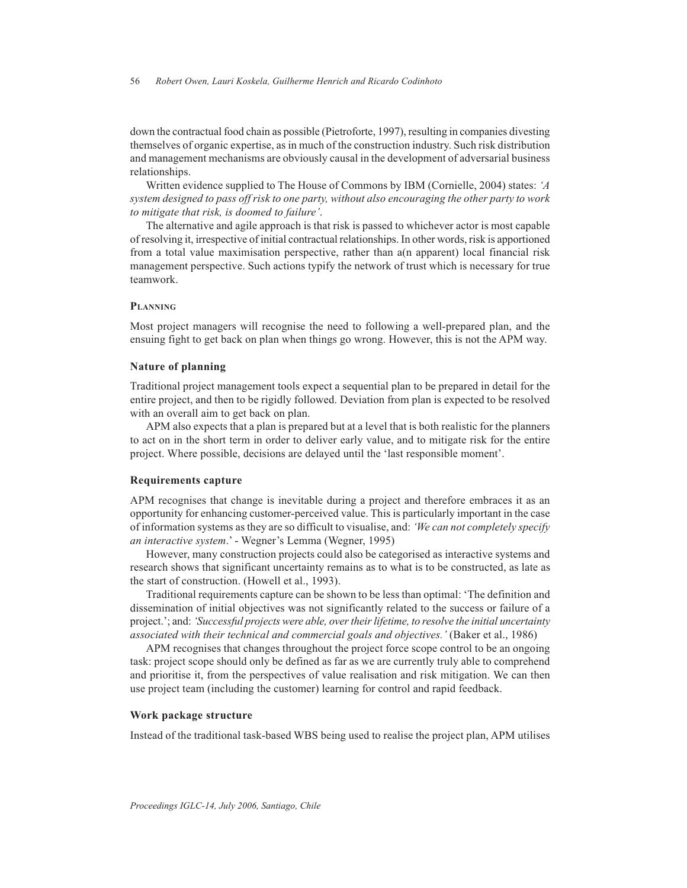down the contractual food chain as possible (Pietroforte, 1997), resulting in companies divesting themselves of organic expertise, as in much of the construction industry. Such risk distribution and management mechanisms are obviously causal in the development of adversarial business relationships.

Written evidence supplied to The House of Commons by IBM (Cornielle, 2004) states: *'A system designed to pass off risk to one party, without also encouraging the other party to work to mitigate that risk, is doomed to failure'*.

The alternative and agile approach is that risk is passed to whichever actor is most capable of resolving it, irrespective of initial contractual relationships. In other words, risk is apportioned from a total value maximisation perspective, rather than a(n apparent) local financial risk management perspective. Such actions typify the network of trust which is necessary for true teamwork.

#### **PLANNING**

Most project managers will recognise the need to following a well-prepared plan, and the ensuing fight to get back on plan when things go wrong. However, this is not the APM way.

#### **Nature of planning**

Traditional project management tools expect a sequential plan to be prepared in detail for the entire project, and then to be rigidly followed. Deviation from plan is expected to be resolved with an overall aim to get back on plan.

APM also expects that a plan is prepared but at a level that is both realistic for the planners to act on in the short term in order to deliver early value, and to mitigate risk for the entire project. Where possible, decisions are delayed until the 'last responsible moment'.

#### **Requirements capture**

APM recognises that change is inevitable during a project and therefore embraces it as an opportunity for enhancing customer-perceived value. This is particularly important in the case of information systems as they are so difficult to visualise, and: *'We can not completely specify an interactive system*.' - Wegner's Lemma (Wegner, 1995)

However, many construction projects could also be categorised as interactive systems and research shows that significant uncertainty remains as to what is to be constructed, as late as the start of construction. (Howell et al., 1993).

Traditional requirements capture can be shown to be less than optimal: 'The definition and dissemination of initial objectives was not significantly related to the success or failure of a project.'; and: *'Successful projects were able, over their lifetime, to resolve the initial uncertainty associated with their technical and commercial goals and objectives.'* (Baker et al., 1986)

APM recognises that changes throughout the project force scope control to be an ongoing task: project scope should only be defined as far as we are currently truly able to comprehend and prioritise it, from the perspectives of value realisation and risk mitigation. We can then use project team (including the customer) learning for control and rapid feedback.

#### **Work package structure**

Instead of the traditional task-based WBS being used to realise the project plan, APM utilises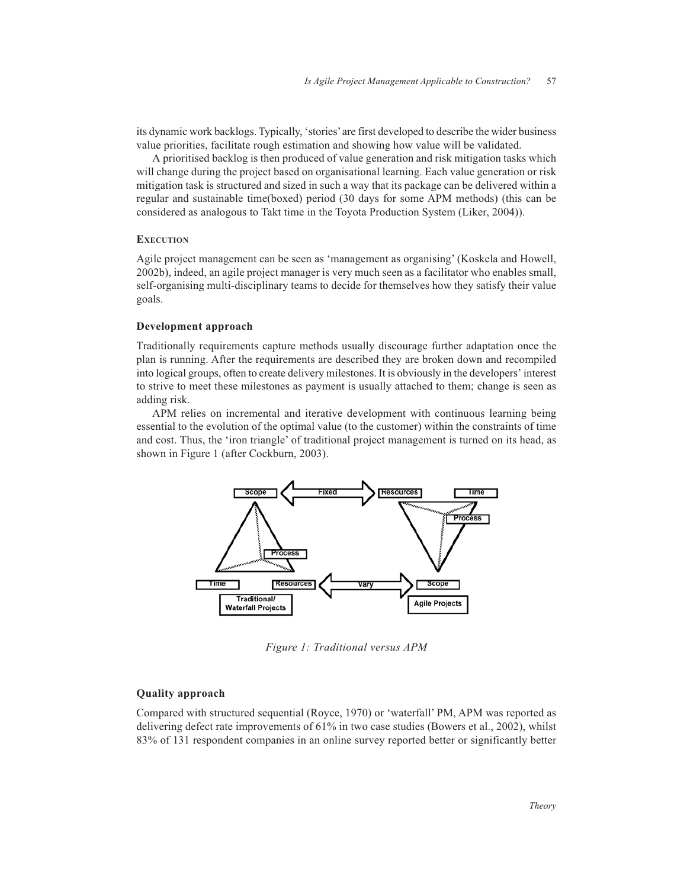its dynamic work backlogs. Typically, 'stories' are first developed to describe the wider business value priorities, facilitate rough estimation and showing how value will be validated.

A prioritised backlog is then produced of value generation and risk mitigation tasks which will change during the project based on organisational learning. Each value generation or risk mitigation task is structured and sized in such a way that its package can be delivered within a regular and sustainable time(boxed) period (30 days for some APM methods) (this can be considered as analogous to Takt time in the Toyota Production System (Liker, 2004)).

#### **EXECUTION**

Agile project management can be seen as 'management as organising' (Koskela and Howell, 2002b), indeed, an agile project manager is very much seen as a facilitator who enables small, self-organising multi-disciplinary teams to decide for themselves how they satisfy their value goals.

#### **Development approach**

Traditionally requirements capture methods usually discourage further adaptation once the plan is running. After the requirements are described they are broken down and recompiled into logical groups, often to create delivery milestones. It is obviously in the developers' interest to strive to meet these milestones as payment is usually attached to them; change is seen as adding risk.

APM relies on incremental and iterative development with continuous learning being essential to the evolution of the optimal value (to the customer) within the constraints of time and cost. Thus, the 'iron triangle' of traditional project management is turned on its head, as shown in Figure 1 (after Cockburn, 2003).



*Figure 1: Traditional versus APM*

## **Quality approach**

Compared with structured sequential (Royce, 1970) or 'waterfall' PM, APM was reported as delivering defect rate improvements of 61% in two case studies (Bowers et al., 2002), whilst 83% of 131 respondent companies in an online survey reported better or significantly better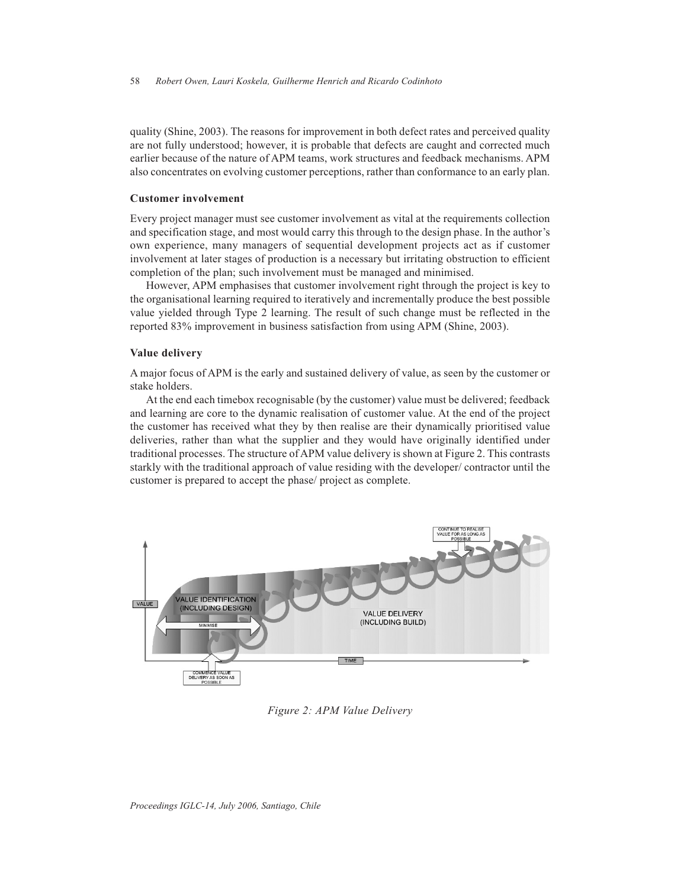quality (Shine, 2003). The reasons for improvement in both defect rates and perceived quality are not fully understood; however, it is probable that defects are caught and corrected much earlier because of the nature of APM teams, work structures and feedback mechanisms. APM also concentrates on evolving customer perceptions, rather than conformance to an early plan.

#### **Customer involvement**

Every project manager must see customer involvement as vital at the requirements collection and specification stage, and most would carry this through to the design phase. In the author's own experience, many managers of sequential development projects act as if customer involvement at later stages of production is a necessary but irritating obstruction to efficient completion of the plan; such involvement must be managed and minimised.

However, APM emphasises that customer involvement right through the project is key to the organisational learning required to iteratively and incrementally produce the best possible value yielded through Type 2 learning. The result of such change must be reflected in the reported 83% improvement in business satisfaction from using APM (Shine, 2003).

#### **Value delivery**

A major focus of APM is the early and sustained delivery of value, as seen by the customer or stake holders.

At the end each timebox recognisable (by the customer) value must be delivered; feedback and learning are core to the dynamic realisation of customer value. At the end of the project the customer has received what they by then realise are their dynamically prioritised value deliveries, rather than what the supplier and they would have originally identified under traditional processes. The structure of APM value delivery is shown at Figure 2. This contrasts starkly with the traditional approach of value residing with the developer/ contractor until the customer is prepared to accept the phase/ project as complete.



*Figure 2: APM Value Delivery*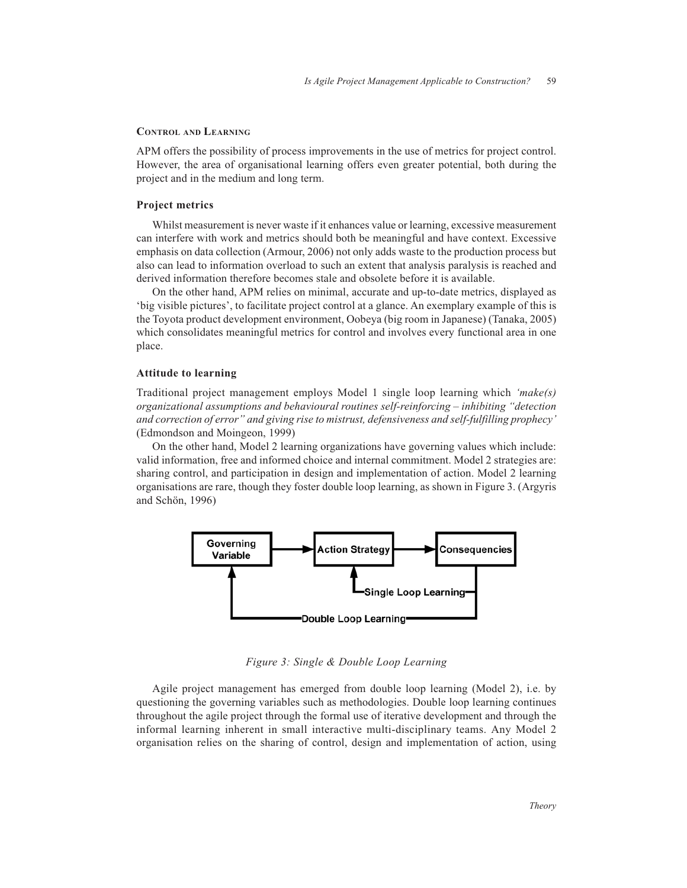#### **CONTROL AND LEARNING**

APM offers the possibility of process improvements in the use of metrics for project control. However, the area of organisational learning offers even greater potential, both during the project and in the medium and long term.

#### **Project metrics**

Whilst measurement is never waste if it enhances value or learning, excessive measurement can interfere with work and metrics should both be meaningful and have context. Excessive emphasis on data collection (Armour, 2006) not only adds waste to the production process but also can lead to information overload to such an extent that analysis paralysis is reached and derived information therefore becomes stale and obsolete before it is available.

On the other hand, APM relies on minimal, accurate and up-to-date metrics, displayed as 'big visible pictures', to facilitate project control at a glance. An exemplary example of this is the Toyota product development environment, Oobeya (big room in Japanese) (Tanaka, 2005) which consolidates meaningful metrics for control and involves every functional area in one place.

#### **Attitude to learning**

Traditional project management employs Model 1 single loop learning which *'make(s) organizational assumptions and behavioural routines self-reinforcing – inhibiting "detection and correction of error" and giving rise to mistrust, defensiveness and self-fulfilling prophecy'* (Edmondson and Moingeon, 1999)

On the other hand, Model 2 learning organizations have governing values which include: valid information, free and informed choice and internal commitment. Model 2 strategies are: sharing control, and participation in design and implementation of action. Model 2 learning organisations are rare, though they foster double loop learning, as shown in Figure 3. (Argyris and Schön, 1996)



*Figure 3: Single & Double Loop Learning*

Agile project management has emerged from double loop learning (Model 2), i.e. by questioning the governing variables such as methodologies. Double loop learning continues throughout the agile project through the formal use of iterative development and through the informal learning inherent in small interactive multi-disciplinary teams. Any Model 2 organisation relies on the sharing of control, design and implementation of action, using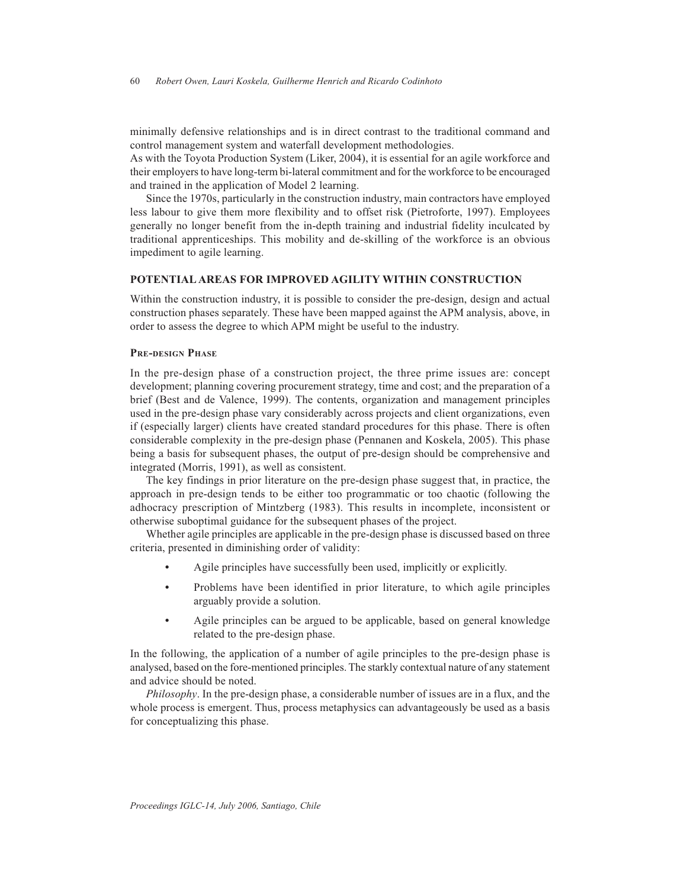minimally defensive relationships and is in direct contrast to the traditional command and control management system and waterfall development methodologies.

As with the Toyota Production System (Liker, 2004), it is essential for an agile workforce and their employers to have long-term bi-lateral commitment and for the workforce to be encouraged and trained in the application of Model 2 learning.

Since the 1970s, particularly in the construction industry, main contractors have employed less labour to give them more flexibility and to offset risk (Pietroforte, 1997). Employees generally no longer benefit from the in-depth training and industrial fidelity inculcated by traditional apprenticeships. This mobility and de-skilling of the workforce is an obvious impediment to agile learning.

## **POTENTIAL AREAS FOR IMPROVED AGILITY WITHIN CONSTRUCTION**

Within the construction industry, it is possible to consider the pre-design, design and actual construction phases separately. These have been mapped against the APM analysis, above, in order to assess the degree to which APM might be useful to the industry.

#### **PRE-DESIGN PHASE**

In the pre-design phase of a construction project, the three prime issues are: concept development; planning covering procurement strategy, time and cost; and the preparation of a brief (Best and de Valence, 1999). The contents, organization and management principles used in the pre-design phase vary considerably across projects and client organizations, even if (especially larger) clients have created standard procedures for this phase. There is often considerable complexity in the pre-design phase (Pennanen and Koskela, 2005). This phase being a basis for subsequent phases, the output of pre-design should be comprehensive and integrated (Morris, 1991), as well as consistent.

The key findings in prior literature on the pre-design phase suggest that, in practice, the approach in pre-design tends to be either too programmatic or too chaotic (following the adhocracy prescription of Mintzberg (1983). This results in incomplete, inconsistent or otherwise suboptimal guidance for the subsequent phases of the project.

Whether agile principles are applicable in the pre-design phase is discussed based on three criteria, presented in diminishing order of validity:

- **•** Agile principles have successfully been used, implicitly or explicitly.
- **•** Problems have been identified in prior literature, to which agile principles arguably provide a solution.
- **•** Agile principles can be argued to be applicable, based on general knowledge related to the pre-design phase.

In the following, the application of a number of agile principles to the pre-design phase is analysed, based on the fore-mentioned principles. The starkly contextual nature of any statement and advice should be noted.

*Philosophy*. In the pre-design phase, a considerable number of issues are in a flux, and the whole process is emergent. Thus, process metaphysics can advantageously be used as a basis for conceptualizing this phase.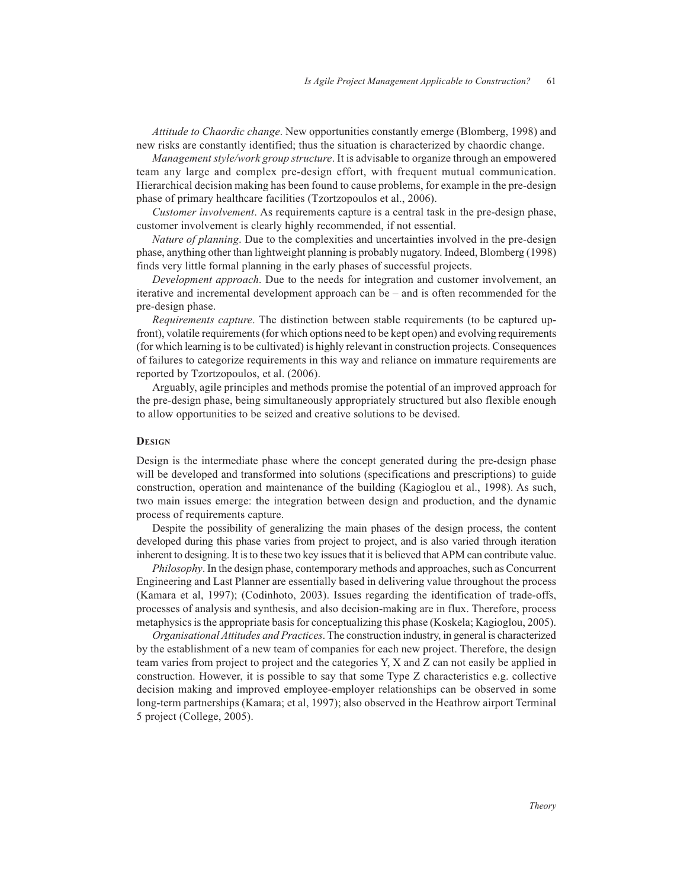*Attitude to Chaordic change*. New opportunities constantly emerge (Blomberg, 1998) and new risks are constantly identified; thus the situation is characterized by chaordic change.

*Management style/work group structure*. It is advisable to organize through an empowered team any large and complex pre-design effort, with frequent mutual communication. Hierarchical decision making has been found to cause problems, for example in the pre-design phase of primary healthcare facilities (Tzortzopoulos et al., 2006).

*Customer involvement*. As requirements capture is a central task in the pre-design phase, customer involvement is clearly highly recommended, if not essential.

*Nature of planning*. Due to the complexities and uncertainties involved in the pre-design phase, anything other than lightweight planning is probably nugatory. Indeed, Blomberg (1998) finds very little formal planning in the early phases of successful projects.

*Development approach*. Due to the needs for integration and customer involvement, an iterative and incremental development approach can be – and is often recommended for the pre-design phase.

*Requirements capture*. The distinction between stable requirements (to be captured upfront), volatile requirements (for which options need to be kept open) and evolving requirements (for which learning is to be cultivated) is highly relevant in construction projects. Consequences of failures to categorize requirements in this way and reliance on immature requirements are reported by Tzortzopoulos, et al. (2006).

Arguably, agile principles and methods promise the potential of an improved approach for the pre-design phase, being simultaneously appropriately structured but also flexible enough to allow opportunities to be seized and creative solutions to be devised.

#### **DESIGN**

Design is the intermediate phase where the concept generated during the pre-design phase will be developed and transformed into solutions (specifications and prescriptions) to guide construction, operation and maintenance of the building (Kagioglou et al., 1998). As such, two main issues emerge: the integration between design and production, and the dynamic process of requirements capture.

Despite the possibility of generalizing the main phases of the design process, the content developed during this phase varies from project to project, and is also varied through iteration inherent to designing. It is to these two key issues that it is believed that APM can contribute value.

*Philosophy*. In the design phase, contemporary methods and approaches, such as Concurrent Engineering and Last Planner are essentially based in delivering value throughout the process (Kamara et al, 1997); (Codinhoto, 2003). Issues regarding the identification of trade-offs, processes of analysis and synthesis, and also decision-making are in flux. Therefore, process metaphysics is the appropriate basis for conceptualizing this phase (Koskela; Kagioglou, 2005).

*Organisational Attitudes and Practices*. The construction industry, in general is characterized by the establishment of a new team of companies for each new project. Therefore, the design team varies from project to project and the categories Y, X and Z can not easily be applied in construction. However, it is possible to say that some Type Z characteristics e.g. collective decision making and improved employee-employer relationships can be observed in some long-term partnerships (Kamara; et al, 1997); also observed in the Heathrow airport Terminal 5 project (College, 2005).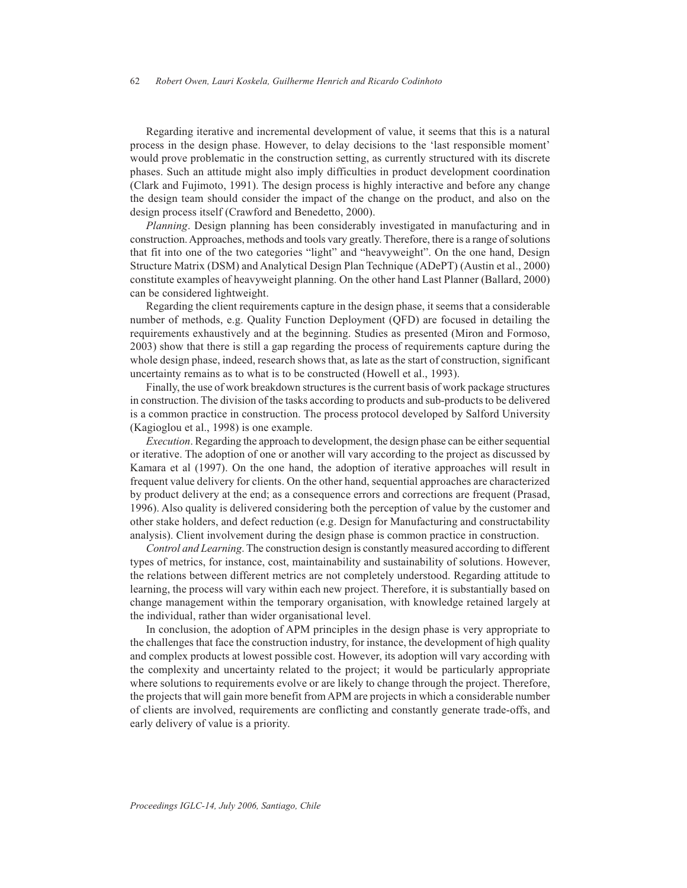Regarding iterative and incremental development of value, it seems that this is a natural process in the design phase. However, to delay decisions to the 'last responsible moment' would prove problematic in the construction setting, as currently structured with its discrete phases. Such an attitude might also imply difficulties in product development coordination (Clark and Fujimoto, 1991). The design process is highly interactive and before any change the design team should consider the impact of the change on the product, and also on the design process itself (Crawford and Benedetto, 2000).

*Planning*. Design planning has been considerably investigated in manufacturing and in construction. Approaches, methods and tools vary greatly. Therefore, there is a range of solutions that fit into one of the two categories "light" and "heavyweight". On the one hand, Design Structure Matrix (DSM) and Analytical Design Plan Technique (ADePT) (Austin et al., 2000) constitute examples of heavyweight planning. On the other hand Last Planner (Ballard, 2000) can be considered lightweight.

Regarding the client requirements capture in the design phase, it seems that a considerable number of methods, e.g. Quality Function Deployment (QFD) are focused in detailing the requirements exhaustively and at the beginning. Studies as presented (Miron and Formoso, 2003) show that there is still a gap regarding the process of requirements capture during the whole design phase, indeed, research shows that, as late as the start of construction, significant uncertainty remains as to what is to be constructed (Howell et al., 1993).

Finally, the use of work breakdown structures is the current basis of work package structures in construction. The division of the tasks according to products and sub-products to be delivered is a common practice in construction. The process protocol developed by Salford University (Kagioglou et al., 1998) is one example.

*Execution*. Regarding the approach to development, the design phase can be either sequential or iterative. The adoption of one or another will vary according to the project as discussed by Kamara et al (1997). On the one hand, the adoption of iterative approaches will result in frequent value delivery for clients. On the other hand, sequential approaches are characterized by product delivery at the end; as a consequence errors and corrections are frequent (Prasad, 1996). Also quality is delivered considering both the perception of value by the customer and other stake holders, and defect reduction (e.g. Design for Manufacturing and constructability analysis). Client involvement during the design phase is common practice in construction.

*Control and Learning*. The construction design is constantly measured according to different types of metrics, for instance, cost, maintainability and sustainability of solutions. However, the relations between different metrics are not completely understood. Regarding attitude to learning, the process will vary within each new project. Therefore, it is substantially based on change management within the temporary organisation, with knowledge retained largely at the individual, rather than wider organisational level.

In conclusion, the adoption of APM principles in the design phase is very appropriate to the challenges that face the construction industry, for instance, the development of high quality and complex products at lowest possible cost. However, its adoption will vary according with the complexity and uncertainty related to the project; it would be particularly appropriate where solutions to requirements evolve or are likely to change through the project. Therefore, the projects that will gain more benefit from APM are projects in which a considerable number of clients are involved, requirements are conflicting and constantly generate trade-offs, and early delivery of value is a priority.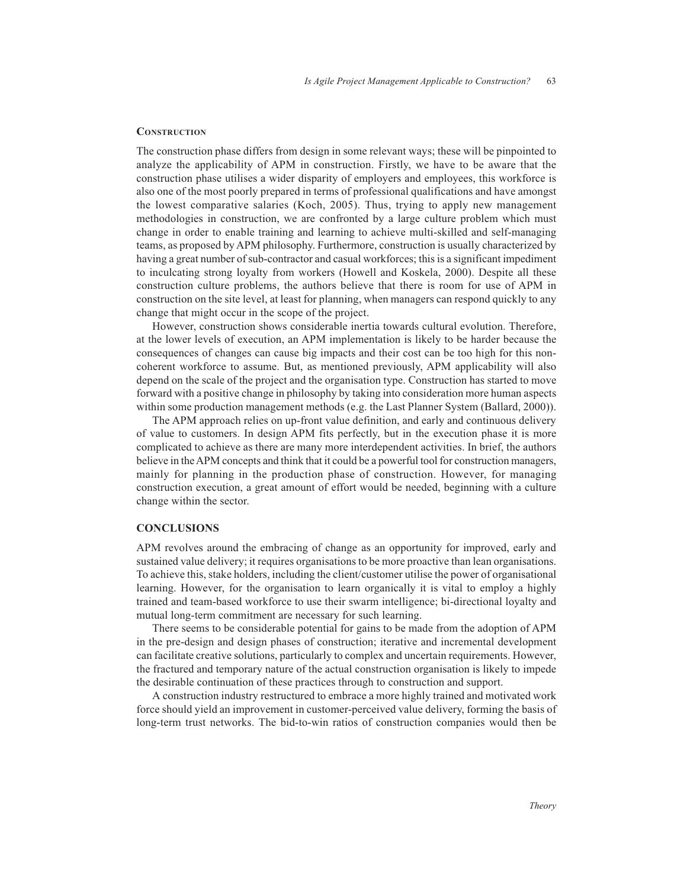#### **CONSTRUCTION**

The construction phase differs from design in some relevant ways; these will be pinpointed to analyze the applicability of APM in construction. Firstly, we have to be aware that the construction phase utilises a wider disparity of employers and employees, this workforce is also one of the most poorly prepared in terms of professional qualifications and have amongst the lowest comparative salaries (Koch, 2005). Thus, trying to apply new management methodologies in construction, we are confronted by a large culture problem which must change in order to enable training and learning to achieve multi-skilled and self-managing teams, as proposed by APM philosophy. Furthermore, construction is usually characterized by having a great number of sub-contractor and casual workforces; this is a significant impediment to inculcating strong loyalty from workers (Howell and Koskela, 2000). Despite all these construction culture problems, the authors believe that there is room for use of APM in construction on the site level, at least for planning, when managers can respond quickly to any change that might occur in the scope of the project.

However, construction shows considerable inertia towards cultural evolution. Therefore, at the lower levels of execution, an APM implementation is likely to be harder because the consequences of changes can cause big impacts and their cost can be too high for this noncoherent workforce to assume. But, as mentioned previously, APM applicability will also depend on the scale of the project and the organisation type. Construction has started to move forward with a positive change in philosophy by taking into consideration more human aspects within some production management methods (e.g. the Last Planner System (Ballard, 2000)).

The APM approach relies on up-front value definition, and early and continuous delivery of value to customers. In design APM fits perfectly, but in the execution phase it is more complicated to achieve as there are many more interdependent activities. In brief, the authors believe in the APM concepts and think that it could be a powerful tool for construction managers, mainly for planning in the production phase of construction. However, for managing construction execution, a great amount of effort would be needed, beginning with a culture change within the sector.

#### **CONCLUSIONS**

APM revolves around the embracing of change as an opportunity for improved, early and sustained value delivery; it requires organisations to be more proactive than lean organisations. To achieve this, stake holders, including the client/customer utilise the power of organisational learning. However, for the organisation to learn organically it is vital to employ a highly trained and team-based workforce to use their swarm intelligence; bi-directional loyalty and mutual long-term commitment are necessary for such learning.

There seems to be considerable potential for gains to be made from the adoption of APM in the pre-design and design phases of construction; iterative and incremental development can facilitate creative solutions, particularly to complex and uncertain requirements. However, the fractured and temporary nature of the actual construction organisation is likely to impede the desirable continuation of these practices through to construction and support.

A construction industry restructured to embrace a more highly trained and motivated work force should yield an improvement in customer-perceived value delivery, forming the basis of long-term trust networks. The bid-to-win ratios of construction companies would then be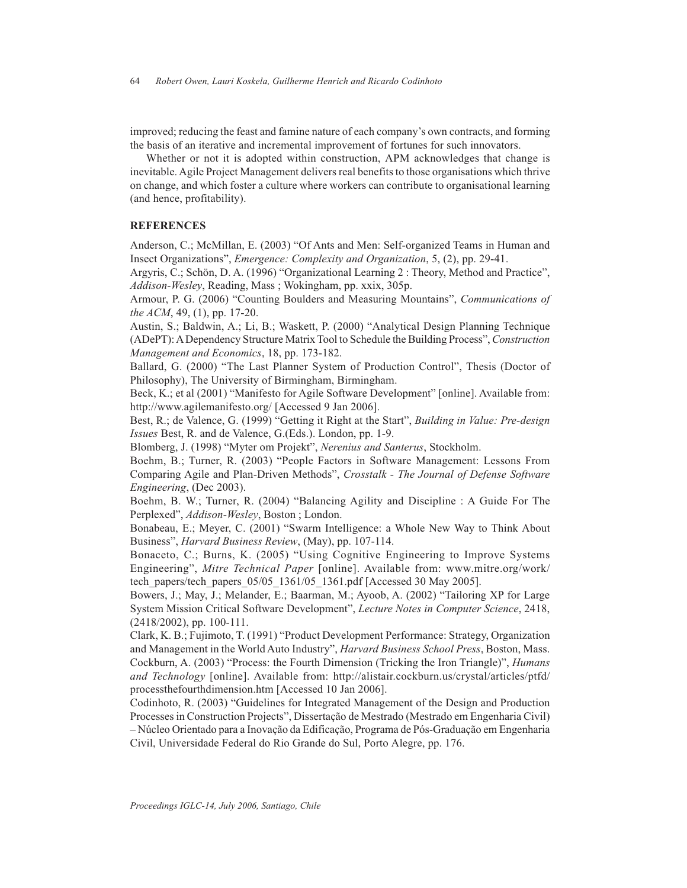improved; reducing the feast and famine nature of each company's own contracts, and forming the basis of an iterative and incremental improvement of fortunes for such innovators.

Whether or not it is adopted within construction, APM acknowledges that change is inevitable. Agile Project Management delivers real benefits to those organisations which thrive on change, and which foster a culture where workers can contribute to organisational learning (and hence, profitability).

## **REFERENCES**

Anderson, C.; McMillan, E. (2003) "Of Ants and Men: Self-organized Teams in Human and Insect Organizations", *Emergence: Complexity and Organization*, 5, (2), pp. 29-41.

Argyris, C.; Schön, D. A. (1996) "Organizational Learning 2 : Theory, Method and Practice", *Addison-Wesley*, Reading, Mass ; Wokingham, pp. xxix, 305p.

Armour, P. G. (2006) "Counting Boulders and Measuring Mountains", *Communications of the ACM*, 49, (1), pp. 17-20.

Austin, S.; Baldwin, A.; Li, B.; Waskett, P. (2000) "Analytical Design Planning Technique (ADePT): A Dependency Structure Matrix Tool to Schedule the Building Process", *Construction Management and Economics*, 18, pp. 173-182.

Ballard, G. (2000) "The Last Planner System of Production Control", Thesis (Doctor of Philosophy), The University of Birmingham, Birmingham.

Beck, K.; et al (2001) "Manifesto for Agile Software Development" [online]. Available from: http://www.agilemanifesto.org/ [Accessed 9 Jan 2006].

Best, R.; de Valence, G. (1999) "Getting it Right at the Start", *Building in Value: Pre-design Issues* Best, R. and de Valence, G.(Eds.). London, pp. 1-9.

Blomberg, J. (1998) "Myter om Projekt", *Nerenius and Santerus*, Stockholm.

Boehm, B.; Turner, R. (2003) "People Factors in Software Management: Lessons From Comparing Agile and Plan-Driven Methods", *Crosstalk - The Journal of Defense Software Engineering*, (Dec 2003).

Boehm, B. W.; Turner, R. (2004) "Balancing Agility and Discipline : A Guide For The Perplexed", *Addison-Wesley*, Boston ; London.

Bonabeau, E.; Meyer, C. (2001) "Swarm Intelligence: a Whole New Way to Think About Business", *Harvard Business Review*, (May), pp. 107-114.

Bonaceto, C.; Burns, K. (2005) "Using Cognitive Engineering to Improve Systems Engineering", *Mitre Technical Paper* [online]. Available from: www.mitre.org/work/ tech\_papers/tech\_papers\_05/05\_1361/05\_1361.pdf [Accessed 30 May 2005].

Bowers, J.; May, J.; Melander, E.; Baarman, M.; Ayoob, A. (2002) "Tailoring XP for Large System Mission Critical Software Development", *Lecture Notes in Computer Science*, 2418, (2418/2002), pp. 100-111.

Clark, K. B.; Fujimoto, T. (1991) "Product Development Performance: Strategy, Organization and Management in the World Auto Industry", *Harvard Business School Press*, Boston, Mass. Cockburn, A. (2003) "Process: the Fourth Dimension (Tricking the Iron Triangle)", *Humans and Technology* [online]. Available from: http://alistair.cockburn.us/crystal/articles/ptfd/ processthefourthdimension.htm [Accessed 10 Jan 2006].

Codinhoto, R. (2003) "Guidelines for Integrated Management of the Design and Production Processes in Construction Projects", Dissertação de Mestrado (Mestrado em Engenharia Civil) – Núcleo Orientado para a Inovação da Edificação, Programa de Pós-Graduação em Engenharia Civil, Universidade Federal do Rio Grande do Sul, Porto Alegre, pp. 176.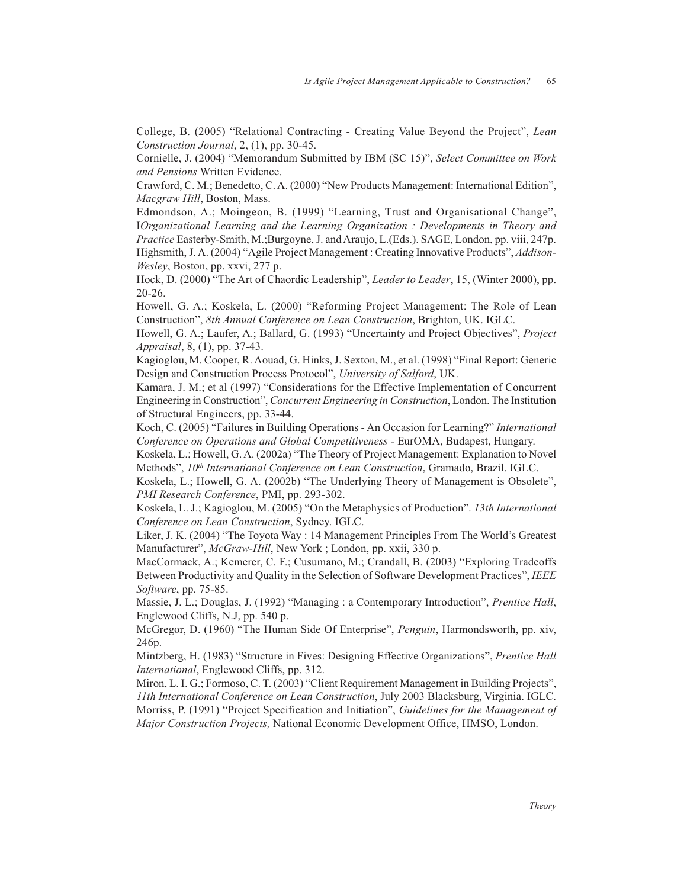College, B. (2005) "Relational Contracting - Creating Value Beyond the Project", *Lean Construction Journal*, 2, (1), pp. 30-45.

Cornielle, J. (2004) "Memorandum Submitted by IBM (SC 15)", *Select Committee on Work and Pensions* Written Evidence.

Crawford, C. M.; Benedetto, C. A. (2000) "New Products Management: International Edition", *Macgraw Hill*, Boston, Mass.

Edmondson, A.; Moingeon, B. (1999) "Learning, Trust and Organisational Change", I*Organizational Learning and the Learning Organization : Developments in Theory and Practice* Easterby-Smith, M.;Burgoyne, J. and Araujo, L.(Eds.). SAGE, London, pp. viii, 247p. Highsmith, J. A. (2004) "Agile Project Management : Creating Innovative Products", *Addison-Wesley*, Boston, pp. xxvi, 277 p.

Hock, D. (2000) "The Art of Chaordic Leadership", *Leader to Leader*, 15, (Winter 2000), pp. 20-26.

Howell, G. A.; Koskela, L. (2000) "Reforming Project Management: The Role of Lean Construction", *8th Annual Conference on Lean Construction*, Brighton, UK. IGLC.

Howell, G. A.; Laufer, A.; Ballard, G. (1993) "Uncertainty and Project Objectives", *Project Appraisal*, 8, (1), pp. 37-43.

Kagioglou, M. Cooper, R. Aouad, G. Hinks, J. Sexton, M., et al. (1998) "Final Report: Generic Design and Construction Process Protocol", *University of Salford*, UK.

Kamara, J. M.; et al (1997) "Considerations for the Effective Implementation of Concurrent Engineering in Construction", *Concurrent Engineering in Construction*, London. The Institution of Structural Engineers, pp. 33-44.

Koch, C. (2005) "Failures in Building Operations - An Occasion for Learning?" *International Conference on Operations and Global Competitiveness* - EurOMA, Budapest, Hungary.

Koskela, L.; Howell, G. A. (2002a) "The Theory of Project Management: Explanation to Novel Methods",  $10<sup>th</sup> International Conference on Lean Construction, Gramado, Brazil. IGLC.$ 

Koskela, L.; Howell, G. A. (2002b) "The Underlying Theory of Management is Obsolete", *PMI Research Conference*, PMI, pp. 293-302.

Koskela, L. J.; Kagioglou, M. (2005) "On the Metaphysics of Production". *13th International Conference on Lean Construction*, Sydney. IGLC.

Liker, J. K. (2004) "The Toyota Way : 14 Management Principles From The World's Greatest Manufacturer", *McGraw-Hill*, New York ; London, pp. xxii, 330 p.

MacCormack, A.; Kemerer, C. F.; Cusumano, M.; Crandall, B. (2003) "Exploring Tradeoffs Between Productivity and Quality in the Selection of Software Development Practices", *IEEE Software*, pp. 75-85.

Massie, J. L.; Douglas, J. (1992) "Managing : a Contemporary Introduction", *Prentice Hall*, Englewood Cliffs, N.J, pp. 540 p.

McGregor, D. (1960) "The Human Side Of Enterprise", *Penguin*, Harmondsworth, pp. xiv, 246p.

Mintzberg, H. (1983) "Structure in Fives: Designing Effective Organizations", *Prentice Hall International*, Englewood Cliffs, pp. 312.

Miron, L. I. G.; Formoso, C. T. (2003) "Client Requirement Management in Building Projects", *11th International Conference on Lean Construction*, July 2003 Blacksburg, Virginia. IGLC. Morriss, P. (1991) "Project Specification and Initiation", *Guidelines for the Management of Major Construction Projects,* National Economic Development Office, HMSO, London.